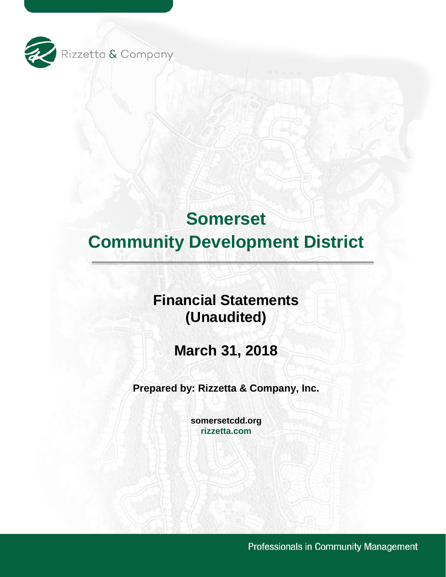

# **Financial Statements (Unaudited)**

**March 31, 2018** 

**Prepared by: Rizzetta & Company, Inc.** 

**[somersetcdd.org](https://somersetcdd.org) [rizzetta.com](https://rizzetta.com)** 

Professionals in Community Management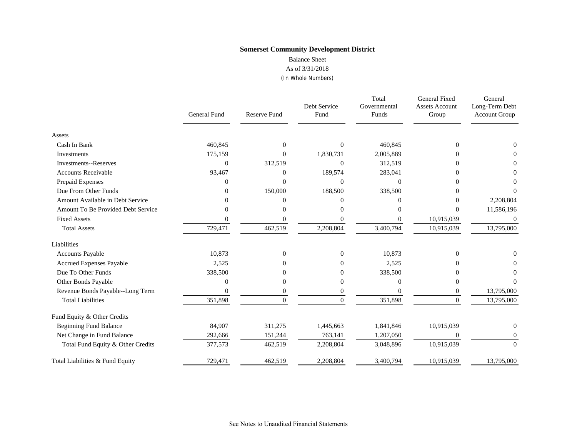Balance Sheet

As of 3/31/2018

(In Whole Numbers)

|                                    | General Fund | Reserve Fund     | Debt Service<br>Fund | Total<br>Governmental<br>Funds | General Fixed<br><b>Assets Account</b><br>Group | General<br>Long-Term Debt<br>Account Group |
|------------------------------------|--------------|------------------|----------------------|--------------------------------|-------------------------------------------------|--------------------------------------------|
| Assets                             |              |                  |                      |                                |                                                 |                                            |
| Cash In Bank                       | 460,845      | $\Omega$         | $\Omega$             | 460,845                        | $\Omega$                                        |                                            |
| Investments                        | 175,159      | $\overline{0}$   | 1,830,731            | 2,005,889                      |                                                 |                                            |
| <b>Investments--Reserves</b>       | 0            | 312,519          | $\overline{0}$       | 312,519                        |                                                 | $\theta$                                   |
| <b>Accounts Receivable</b>         | 93,467       | $\theta$         | 189,574              | 283,041                        |                                                 | 0                                          |
| Prepaid Expenses                   | 0            | $\mathbf{0}$     | $\theta$             | $\theta$                       |                                                 | 0                                          |
| Due From Other Funds               | 0            | 150,000          | 188,500              | 338,500                        |                                                 | 0                                          |
| Amount Available in Debt Service   | O            | $\Omega$         | 0                    | 0                              |                                                 | 2,208,804                                  |
| Amount To Be Provided Debt Service | 0            | 0                | 0                    | 0                              | 0                                               | 11,586,196                                 |
| <b>Fixed Assets</b>                | 0            | $\boldsymbol{0}$ | $\theta$             | $\overline{0}$                 | 10,915,039                                      | $\overline{0}$                             |
| <b>Total Assets</b>                | 729,471      | 462,519          | 2,208,804            | 3,400,794                      | 10,915,039                                      | 13,795,000                                 |
| Liabilities                        |              |                  |                      |                                |                                                 |                                            |
| <b>Accounts Payable</b>            | 10,873       | $\mathbf{0}$     | $\theta$             | 10,873                         | $\Omega$                                        |                                            |
| <b>Accrued Expenses Payable</b>    | 2,525        | 0                | 0                    | 2,525                          | $\mathcal{L}$                                   |                                            |
| Due To Other Funds                 | 338,500      | 0                | 0                    | 338,500                        |                                                 |                                            |
| Other Bonds Payable                | $\theta$     | $\mathbf{0}$     | $\overline{0}$       | $\overline{0}$                 | 0                                               |                                            |
| Revenue Bonds Payable--Long Term   | $\Omega$     | $\mathbf{0}$     | $\mathbf{0}$         | $\Omega$                       | $\theta$                                        | 13,795,000                                 |
| <b>Total Liabilities</b>           | 351,898      | $\Omega$         | $\theta$             | 351,898                        | $\Omega$                                        | 13,795,000                                 |
| Fund Equity & Other Credits        |              |                  |                      |                                |                                                 |                                            |
| <b>Beginning Fund Balance</b>      | 84,907       | 311,275          | 1,445,663            | 1,841,846                      | 10,915,039                                      | $\theta$                                   |
| Net Change in Fund Balance         | 292,666      | 151,244          | 763,141              | 1,207,050                      | $\overline{0}$                                  | 0                                          |
| Total Fund Equity & Other Credits  | 377,573      | 462,519          | 2,208,804            | 3,048,896                      | 10,915,039                                      | $\Omega$                                   |
| Total Liabilities & Fund Equity    | 729,471      | 462,519          | 2,208,804            | 3,400,794                      | 10,915,039                                      | 13,795,000                                 |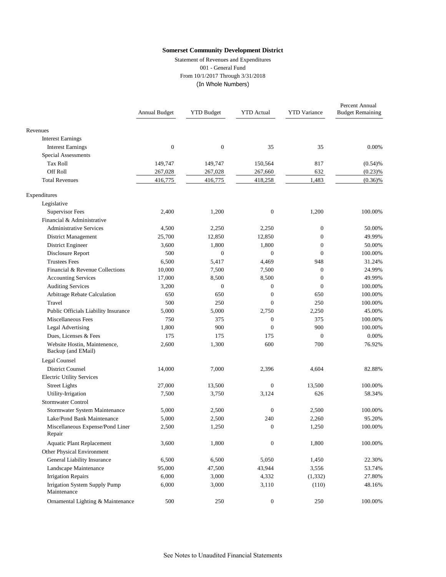Statement of Revenues and Expenditures 001 - General Fund From 10/1/2017 Through 3/31/2018 (In Whole Numbers)

|                                                    | Annual Budget    | <b>YTD Budget</b> | <b>YTD</b> Actual | <b>YTD</b> Variance | Percent Annual<br><b>Budget Remaining</b> |
|----------------------------------------------------|------------------|-------------------|-------------------|---------------------|-------------------------------------------|
| Revenues                                           |                  |                   |                   |                     |                                           |
| <b>Interest Earnings</b>                           |                  |                   |                   |                     |                                           |
| <b>Interest Earnings</b>                           | $\boldsymbol{0}$ | $\boldsymbol{0}$  | 35                | 35                  | 0.00%                                     |
| <b>Special Assessments</b>                         |                  |                   |                   |                     |                                           |
| <b>Tax Roll</b>                                    | 149,747          | 149,747           | 150,564           | 817                 | (0.54)%                                   |
| Off Roll                                           | 267,028          | 267,028           | 267,660           | 632                 | (0.23)%                                   |
| <b>Total Revenues</b>                              | 416,775          | 416,775           | 418,258           | 1,483               | $(0.36)\%$                                |
| Expenditures                                       |                  |                   |                   |                     |                                           |
| Legislative                                        |                  |                   |                   |                     |                                           |
| Supervisor Fees                                    | 2,400            | 1,200             | $\boldsymbol{0}$  | 1,200               | 100.00%                                   |
| Financial & Administrative                         |                  |                   |                   |                     |                                           |
| <b>Administrative Services</b>                     | 4,500            | 2,250             | 2,250             | $\mathbf{0}$        | 50.00%                                    |
| District Management                                | 25,700           | 12,850            | 12,850            | $\mathbf{0}$        | 49.99%                                    |
| District Engineer                                  | 3,600            | 1,800             | 1,800             | $\mathbf{0}$        | 50.00%                                    |
| Disclosure Report                                  | 500              | $\mathbf{0}$      | $\overline{0}$    | $\mathbf{0}$        | 100.00%                                   |
| <b>Trustees Fees</b>                               | 6,500            | 5,417             | 4,469             | 948                 | 31.24%                                    |
| Financial & Revenue Collections                    | 10,000           | 7,500             | 7,500             | $\mathbf{0}$        | 24.99%                                    |
| <b>Accounting Services</b>                         | 17,000           | 8,500             | 8,500             | $\boldsymbol{0}$    | 49.99%                                    |
| <b>Auditing Services</b>                           | 3,200            | $\boldsymbol{0}$  | $\boldsymbol{0}$  | $\mathbf{0}$        | 100.00%                                   |
| Arbitrage Rebate Calculation                       | 650              | 650               | $\boldsymbol{0}$  | 650                 | 100.00%                                   |
| Travel                                             | 500              | 250               | $\overline{0}$    | 250                 | 100.00%                                   |
| Public Officials Liability Insurance               | 5,000            | 5,000             | 2,750             | 2,250               | 45.00%                                    |
| Miscellaneous Fees                                 | 750              | 375               | $\boldsymbol{0}$  | 375                 | 100.00%                                   |
| <b>Legal Advertising</b>                           | 1,800            | 900               | $\overline{0}$    | 900                 | 100.00%                                   |
| Dues, Licenses & Fees                              | 175              | 175               | 175               | $\theta$            | 0.00%                                     |
| Website Hostin, Maintenence,<br>Backup (and EMail) | 2,600            | 1,300             | 600               | 700                 | 76.92%                                    |
| Legal Counsel                                      |                  |                   |                   |                     |                                           |
| <b>District Counsel</b>                            | 14,000           | 7,000             | 2,396             | 4,604               | 82.88%                                    |
| <b>Electric Utility Services</b>                   |                  |                   |                   |                     |                                           |
| <b>Street Lights</b>                               | 27,000           | 13,500            | $\boldsymbol{0}$  | 13,500              | 100.00%                                   |
| Utility-Irrigation                                 | 7,500            | 3,750             | 3,124             | 626                 | 58.34%                                    |
| Stormwater Control                                 |                  |                   |                   |                     |                                           |
| Stormwater System Maintenance                      | 5,000            | 2,500             | $\boldsymbol{0}$  | 2,500               | 100.00%                                   |
| Lake/Pond Bank Maintenance                         | 5,000            | 2,500             | 240               | 2,260               | 95.20%                                    |
| Miscellaneous Expense/Pond Liner<br>Repair         | 2,500            | 1,250             | $\overline{0}$    | 1,250               | 100.00%                                   |
| <b>Aquatic Plant Replacement</b>                   | 3,600            | 1,800             | $\boldsymbol{0}$  | 1,800               | 100.00%                                   |
| Other Physical Environment                         |                  |                   |                   |                     |                                           |
| General Liability Insurance                        | 6,500            | 6,500             | 5,050             | 1,450               | 22.30%                                    |
| Landscape Maintenance                              | 95,000           | 47,500            | 43,944            | 3,556               | 53.74%                                    |
| <b>Irrigation Repairs</b>                          | 6,000            | 3,000             | 4,332             | (1, 332)            | 27.80%                                    |
| Irrigation System Supply Pump<br>Maintenance       | 6,000            | 3,000             | 3,110             | (110)               | 48.16%                                    |
| Ornamental Lighting & Maintenance                  | 500              | 250               | $\boldsymbol{0}$  | 250                 | 100.00%                                   |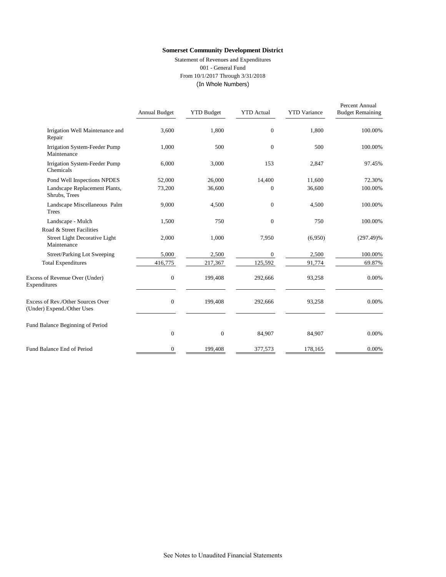Statement of Revenues and Expenditures 001 - General Fund From 10/1/2017 Through 3/31/2018 (In Whole Numbers)

|                                                                 | Annual Budget | <b>YTD Budget</b> | <b>YTD</b> Actual | <b>YTD</b> Variance | Percent Annual<br><b>Budget Remaining</b> |
|-----------------------------------------------------------------|---------------|-------------------|-------------------|---------------------|-------------------------------------------|
| Irrigation Well Maintenance and<br>Repair                       | 3,600         | 1,800             | $\overline{0}$    | 1,800               | 100.00%                                   |
| Irrigation System-Feeder Pump<br>Maintenance                    | 1,000         | 500               | $\overline{0}$    | 500                 | 100.00%                                   |
| Irrigation System-Feeder Pump<br>Chemicals                      | 6,000         | 3,000             | 153               | 2,847               | 97.45%                                    |
| Pond Well Inspections NPDES                                     | 52,000        | 26,000            | 14,400            | 11,600              | 72.30%                                    |
| Landscape Replacement Plants,<br>Shrubs, Trees                  | 73,200        | 36,600            | $\overline{0}$    | 36,600              | 100.00%                                   |
| Landscape Miscellaneous Palm<br>Trees                           | 9,000         | 4,500             | $\overline{0}$    | 4,500               | 100.00%                                   |
| Landscape - Mulch                                               | 1,500         | 750               | $\overline{0}$    | 750                 | 100.00%                                   |
| Road & Street Facilities                                        |               |                   |                   |                     |                                           |
| Street Light Decorative Light<br>Maintenance                    | 2,000         | 1,000             | 7,950             | (6,950)             | $(297.49)\%$                              |
| Street/Parking Lot Sweeping                                     | 5,000         | 2,500             | $\overline{0}$    | 2,500               | 100.00%                                   |
| <b>Total Expenditures</b>                                       | 416,775       | 217,367           | 125,592           | 91,774              | 69.87%                                    |
| Excess of Revenue Over (Under)<br>Expenditures                  | $\mathbf{0}$  | 199,408           | 292,666           | 93,258              | 0.00%                                     |
| Excess of Rev./Other Sources Over<br>(Under) Expend./Other Uses | $\mathbf{0}$  | 199,408           | 292,666           | 93,258              | 0.00%                                     |
| Fund Balance Beginning of Period                                |               |                   |                   |                     |                                           |
|                                                                 | $\mathbf{0}$  | $\boldsymbol{0}$  | 84,907            | 84,907              | 0.00%                                     |
| Fund Balance End of Period                                      | $\mathbf{0}$  | 199,408           | 377,573           | 178,165             | 0.00%                                     |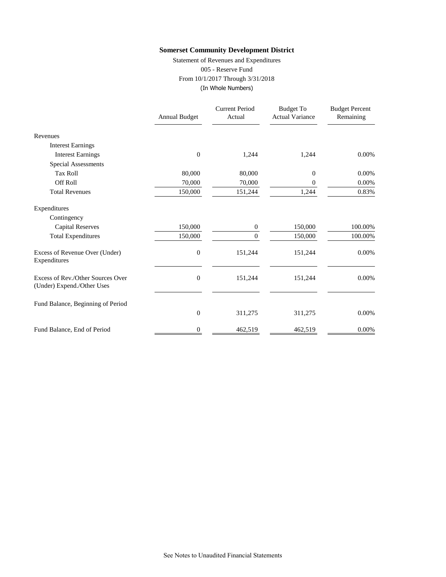Statement of Revenues and Expenditures 005 - Reserve Fund From 10/1/2017 Through 3/31/2018 (In Whole Numbers)

|                                                                 | <b>Annual Budget</b> | <b>Current Period</b><br>Actual | <b>Budget To</b><br><b>Actual Variance</b> | <b>Budget Percent</b><br>Remaining |
|-----------------------------------------------------------------|----------------------|---------------------------------|--------------------------------------------|------------------------------------|
| Revenues                                                        |                      |                                 |                                            |                                    |
| <b>Interest Earnings</b>                                        |                      |                                 |                                            |                                    |
| <b>Interest Earnings</b>                                        | $\boldsymbol{0}$     | 1,244                           | 1,244                                      | 0.00%                              |
| Special Assessments                                             |                      |                                 |                                            |                                    |
| <b>Tax Roll</b>                                                 | 80,000               | 80,000                          | 0                                          | 0.00%                              |
| <b>Off Roll</b>                                                 | 70,000               | 70,000                          | 0                                          | 0.00%                              |
| <b>Total Revenues</b>                                           | 150,000              | 151,244                         | 1,244                                      | 0.83%                              |
| Expenditures                                                    |                      |                                 |                                            |                                    |
| Contingency                                                     |                      |                                 |                                            |                                    |
| <b>Capital Reserves</b>                                         | 150,000              | 0                               | 150,000                                    | 100.00%                            |
| <b>Total Expenditures</b>                                       | 150,000              | $\Omega$                        | 150,000                                    | 100.00%                            |
| Excess of Revenue Over (Under)<br>Expenditures                  | $\boldsymbol{0}$     | 151,244                         | 151,244                                    | 0.00%                              |
| Excess of Rev./Other Sources Over<br>(Under) Expend./Other Uses | $\overline{0}$       | 151,244                         | 151,244                                    | 0.00%                              |
| Fund Balance, Beginning of Period                               |                      |                                 |                                            |                                    |
|                                                                 | $\boldsymbol{0}$     | 311,275                         | 311,275                                    | 0.00%                              |
| Fund Balance, End of Period                                     | 0                    | 462,519                         | 462,519                                    | 0.00%                              |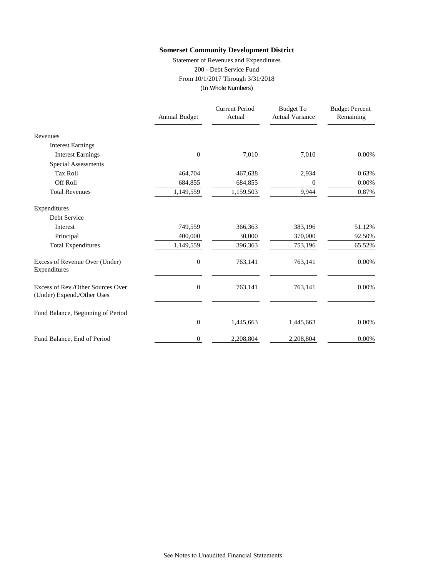Statement of Revenues and Expenditures 200 - Debt Service Fund From 10/1/2017 Through 3/31/2018 (In Whole Numbers)

|                                                                 | <b>Annual Budget</b> | <b>Current Period</b><br>Actual | <b>Budget To</b><br><b>Actual Variance</b> | <b>Budget Percent</b><br>Remaining |
|-----------------------------------------------------------------|----------------------|---------------------------------|--------------------------------------------|------------------------------------|
| Revenues                                                        |                      |                                 |                                            |                                    |
| <b>Interest Earnings</b>                                        |                      |                                 |                                            |                                    |
| <b>Interest Earnings</b>                                        | $\boldsymbol{0}$     | 7,010                           | 7,010                                      | 0.00%                              |
| Special Assessments                                             |                      |                                 |                                            |                                    |
| <b>Tax Roll</b>                                                 | 464,704              | 467,638                         | 2,934                                      | 0.63%                              |
| <b>Off Roll</b>                                                 | 684,855              | 684,855                         | 0                                          | 0.00%                              |
| <b>Total Revenues</b>                                           | 1,149,559            | 1,159,503                       | 9,944                                      | 0.87%                              |
| Expenditures                                                    |                      |                                 |                                            |                                    |
| Debt Service                                                    |                      |                                 |                                            |                                    |
| Interest                                                        | 749,559              | 366,363                         | 383,196                                    | 51.12%                             |
| Principal                                                       | 400,000              | 30,000                          | 370,000                                    | 92.50%                             |
| <b>Total Expenditures</b>                                       | 1,149,559            | 396,363                         | 753,196                                    | 65.52%                             |
| Excess of Revenue Over (Under)<br>Expenditures                  | $\boldsymbol{0}$     | 763,141                         | 763,141                                    | 0.00%                              |
| Excess of Rev./Other Sources Over<br>(Under) Expend./Other Uses | $\boldsymbol{0}$     | 763,141                         | 763,141                                    | 0.00%                              |
| Fund Balance, Beginning of Period                               |                      |                                 |                                            |                                    |
|                                                                 | $\boldsymbol{0}$     | 1,445,663                       | 1,445,663                                  | 0.00%                              |
| Fund Balance, End of Period                                     | 0                    | 2,208,804                       | 2,208,804                                  | 0.00%                              |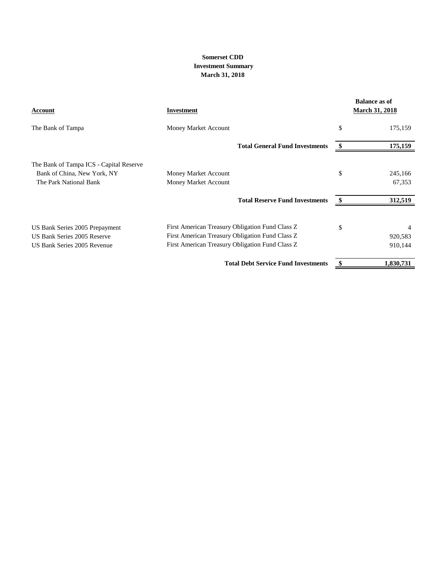## **March 31, 2018 Somerset CDD Investment Summary**

| Account                                 | Investment                                      | <b>Balance as of</b><br><b>March 31, 2018</b> |
|-----------------------------------------|-------------------------------------------------|-----------------------------------------------|
| The Bank of Tampa                       | Money Market Account                            | \$<br>175,159                                 |
|                                         | <b>Total General Fund Investments</b>           | 175,159                                       |
| The Bank of Tampa ICS - Capital Reserve |                                                 |                                               |
| Bank of China, New York, NY             | Money Market Account                            | \$<br>245,166                                 |
| The Park National Bank                  | Money Market Account                            | 67,353                                        |
|                                         | <b>Total Reserve Fund Investments</b>           | 312,519                                       |
| US Bank Series 2005 Prepayment          | First American Treasury Obligation Fund Class Z | \$                                            |
| US Bank Series 2005 Reserve             | First American Treasury Obligation Fund Class Z | 920,583                                       |
| US Bank Series 2005 Revenue             | First American Treasury Obligation Fund Class Z | 910,144                                       |
|                                         | <b>Total Debt Service Fund Investments</b>      | 1,830,731                                     |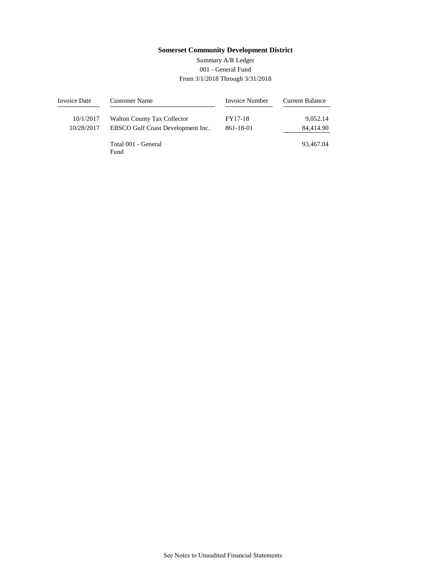# 001 - General Fund From 3/1/2018 Through 3/31/2018 Summary A/R Ledger

| Invoice Date | <b>Customer Name</b>               | Invoice Number | <b>Current Balance</b> |
|--------------|------------------------------------|----------------|------------------------|
| 10/1/2017    | <b>Walton County Tax Collector</b> | FY17-18        | 9,052.14               |
| 10/28/2017   | EBSCO Gulf Coast Development Inc.  | 861-18-01      | 84,414.90              |
|              | Total 001 - General<br>Fund        |                | 93.467.04              |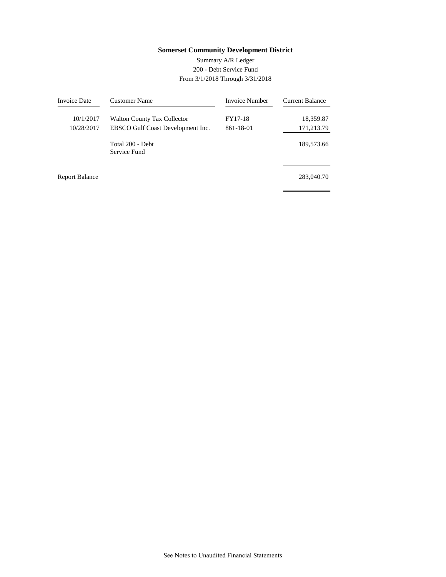# 200 - Debt Service Fund From 3/1/2018 Through 3/31/2018 Summary A/R Ledger

| <b>Invoice Date</b>   | Customer Name                      | <b>Invoice Number</b> | Current Balance |
|-----------------------|------------------------------------|-----------------------|-----------------|
| 10/1/2017             | <b>Walton County Tax Collector</b> | FY17-18               | 18,359.87       |
| 10/28/2017            | EBSCO Gulf Coast Development Inc.  | 861-18-01             | 171,213.79      |
|                       | Total 200 - Debt<br>Service Fund   |                       | 189,573.66      |
| <b>Report Balance</b> |                                    |                       | 283,040.70      |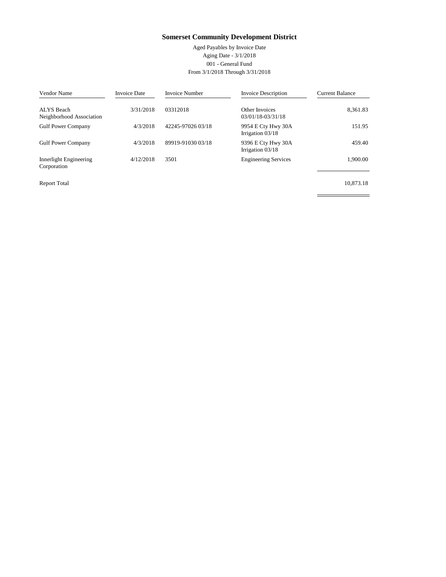Aged Payables by Invoice Date Aging Date - 3/1/2018 001 - General Fund From 3/1/2018 Through 3/31/2018

| Vendor Name                            | <b>Invoice Date</b> | <b>Invoice Number</b> | <b>Invoice Description</b>               | <b>Current Balance</b> |
|----------------------------------------|---------------------|-----------------------|------------------------------------------|------------------------|
| ALYS Beach<br>Neighborhood Association | 3/31/2018           | 03312018              | Other Invoices<br>03/01/18-03/31/18      | 8,361.83               |
| <b>Gulf Power Company</b>              | 4/3/2018            | 42245-97026 03/18     | 9954 E Cty Hwy 30A<br>Irrigation $03/18$ | 151.95                 |
| <b>Gulf Power Company</b>              | 4/3/2018            | 89919-91030 03/18     | 9396 E Cty Hwy 30A<br>Irrigation $03/18$ | 459.40                 |
| Innerlight Engineering<br>Corporation  | 4/12/2018           | 3501                  | <b>Engineering Services</b>              | 1.900.00               |
| <b>Report Total</b>                    |                     |                       |                                          | 10.873.18              |